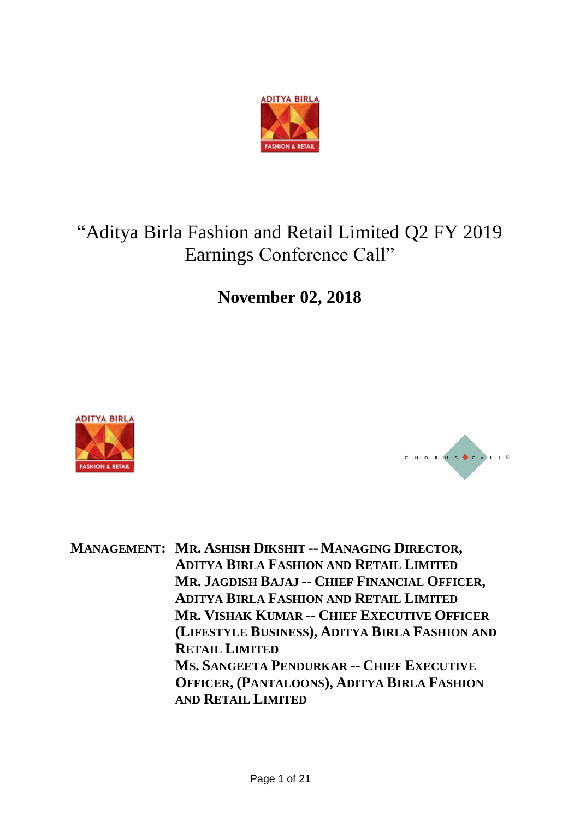

# "Aditya Birla Fashion and Retail Limited Q2 FY 2019 Earnings Conference Call"

**November 02, 2018**





**MANAGEMENT: MR. ASHISH DIKSHIT -- MANAGING DIRECTOR, ADITYA BIRLA FASHION AND RETAIL LIMITED MR. JAGDISH BAJAJ -- CHIEF FINANCIAL OFFICER, ADITYA BIRLA FASHION AND RETAIL LIMITED MR. VISHAK KUMAR -- CHIEF EXECUTIVE OFFICER (LIFESTYLE BUSINESS), ADITYA BIRLA FASHION AND RETAIL LIMITED MS. SANGEETA PENDURKAR -- CHIEF EXECUTIVE OFFICER, (PANTALOONS), ADITYA BIRLA FASHION AND RETAIL LIMITED**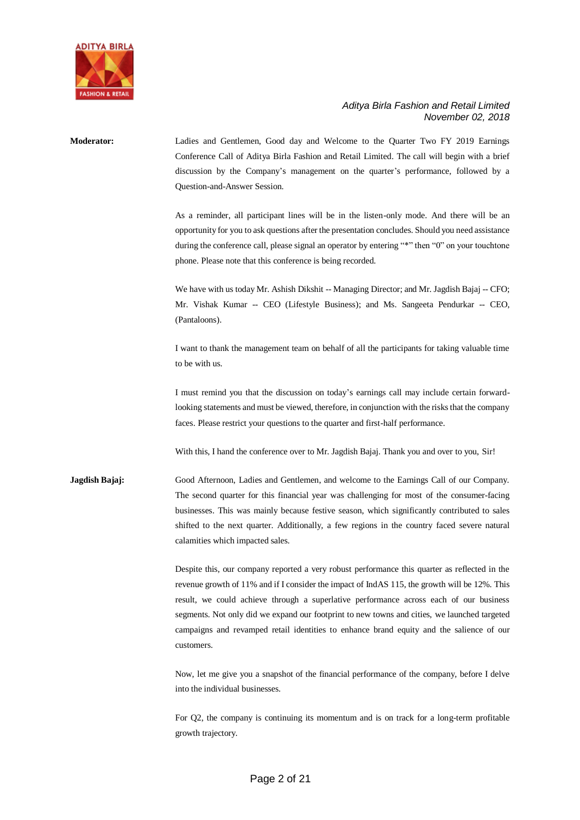

| <b>Moderator:</b> | Ladies and Gentlemen, Good day and Welcome to the Quarter Two FY 2019 Earnings<br>Conference Call of Aditya Birla Fashion and Retail Limited. The call will begin with a brief<br>discussion by the Company's management on the quarter's performance, followed by a<br>Question-and-Answer Session.                                                                                                                                                                                               |
|-------------------|----------------------------------------------------------------------------------------------------------------------------------------------------------------------------------------------------------------------------------------------------------------------------------------------------------------------------------------------------------------------------------------------------------------------------------------------------------------------------------------------------|
|                   | As a reminder, all participant lines will be in the listen-only mode. And there will be an<br>opportunity for you to ask questions after the presentation concludes. Should you need assistance<br>during the conference call, please signal an operator by entering "*" then "0" on your touchtone<br>phone. Please note that this conference is being recorded.                                                                                                                                  |
|                   | We have with us today Mr. Ashish Dikshit -- Managing Director; and Mr. Jagdish Bajaj -- CFO;<br>Mr. Vishak Kumar -- CEO (Lifestyle Business); and Ms. Sangeeta Pendurkar -- CEO,<br>(Pantaloons).                                                                                                                                                                                                                                                                                                  |
|                   | I want to thank the management team on behalf of all the participants for taking valuable time<br>to be with us.                                                                                                                                                                                                                                                                                                                                                                                   |
|                   | I must remind you that the discussion on today's earnings call may include certain forward-<br>looking statements and must be viewed, therefore, in conjunction with the risks that the company<br>faces. Please restrict your questions to the quarter and first-half performance.                                                                                                                                                                                                                |
|                   | With this, I hand the conference over to Mr. Jagdish Bajaj. Thank you and over to you, Sir!                                                                                                                                                                                                                                                                                                                                                                                                        |
| Jagdish Bajaj:    | Good Afternoon, Ladies and Gentlemen, and welcome to the Earnings Call of our Company.<br>The second quarter for this financial year was challenging for most of the consumer-facing<br>businesses. This was mainly because festive season, which significantly contributed to sales<br>shifted to the next quarter. Additionally, a few regions in the country faced severe natural<br>calamities which impacted sales.                                                                           |
|                   | Despite this, our company reported a very robust performance this quarter as reflected in the<br>revenue growth of 11% and if I consider the impact of IndAS 115, the growth will be 12%. This<br>result, we could achieve through a superlative performance across each of our business<br>segments. Not only did we expand our footprint to new towns and cities, we launched targeted<br>campaigns and revamped retail identities to enhance brand equity and the salience of our<br>customers. |
|                   | Now, let me give you a snapshot of the financial performance of the company, before I delve<br>into the individual businesses.                                                                                                                                                                                                                                                                                                                                                                     |

For Q2, the company is continuing its momentum and is on track for a long-term profitable growth trajectory.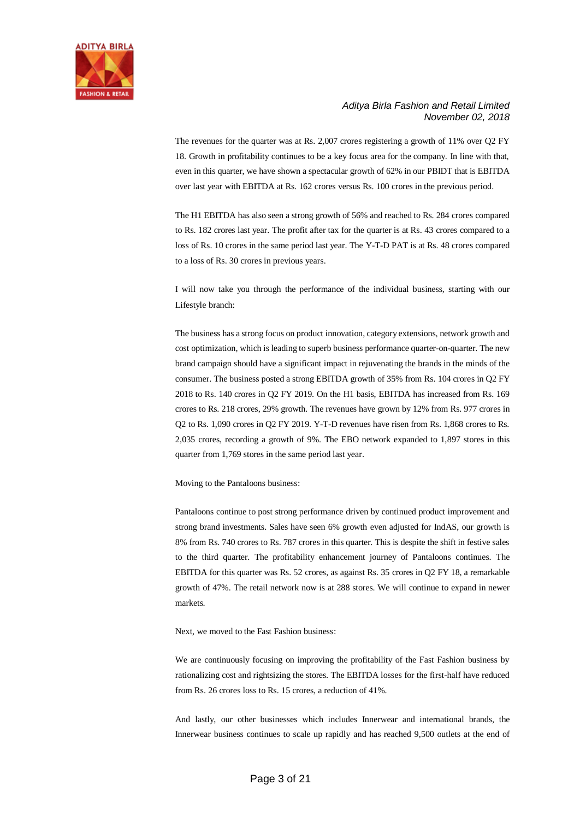

The revenues for the quarter was at Rs. 2,007 crores registering a growth of 11% over Q2 FY 18. Growth in profitability continues to be a key focus area for the company. In line with that, even in this quarter, we have shown a spectacular growth of 62% in our PBIDT that is EBITDA over last year with EBITDA at Rs. 162 crores versus Rs. 100 crores in the previous period.

The H1 EBITDA has also seen a strong growth of 56% and reached to Rs. 284 crores compared to Rs. 182 crores last year. The profit after tax for the quarter is at Rs. 43 crores compared to a loss of Rs. 10 crores in the same period last year. The Y-T-D PAT is at Rs. 48 crores compared to a loss of Rs. 30 crores in previous years.

I will now take you through the performance of the individual business, starting with our Lifestyle branch:

The business has a strong focus on product innovation, category extensions, network growth and cost optimization, which is leading to superb business performance quarter-on-quarter. The new brand campaign should have a significant impact in rejuvenating the brands in the minds of the consumer. The business posted a strong EBITDA growth of 35% from Rs. 104 crores in Q2 FY 2018 to Rs. 140 crores in Q2 FY 2019. On the H1 basis, EBITDA has increased from Rs. 169 crores to Rs. 218 crores, 29% growth. The revenues have grown by 12% from Rs. 977 crores in Q2 to Rs. 1,090 crores in Q2 FY 2019. Y-T-D revenues have risen from Rs. 1,868 crores to Rs. 2,035 crores, recording a growth of 9%. The EBO network expanded to 1,897 stores in this quarter from 1,769 stores in the same period last year.

Moving to the Pantaloons business:

Pantaloons continue to post strong performance driven by continued product improvement and strong brand investments. Sales have seen 6% growth even adjusted for IndAS, our growth is 8% from Rs. 740 crores to Rs. 787 crores in this quarter. This is despite the shift in festive sales to the third quarter. The profitability enhancement journey of Pantaloons continues. The EBITDA for this quarter was Rs. 52 crores, as against Rs. 35 crores in Q2 FY 18, a remarkable growth of 47%. The retail network now is at 288 stores. We will continue to expand in newer markets.

Next, we moved to the Fast Fashion business:

We are continuously focusing on improving the profitability of the Fast Fashion business by rationalizing cost and rightsizing the stores. The EBITDA losses for the first-half have reduced from Rs. 26 crores loss to Rs. 15 crores, a reduction of 41%.

And lastly, our other businesses which includes Innerwear and international brands, the Innerwear business continues to scale up rapidly and has reached 9,500 outlets at the end of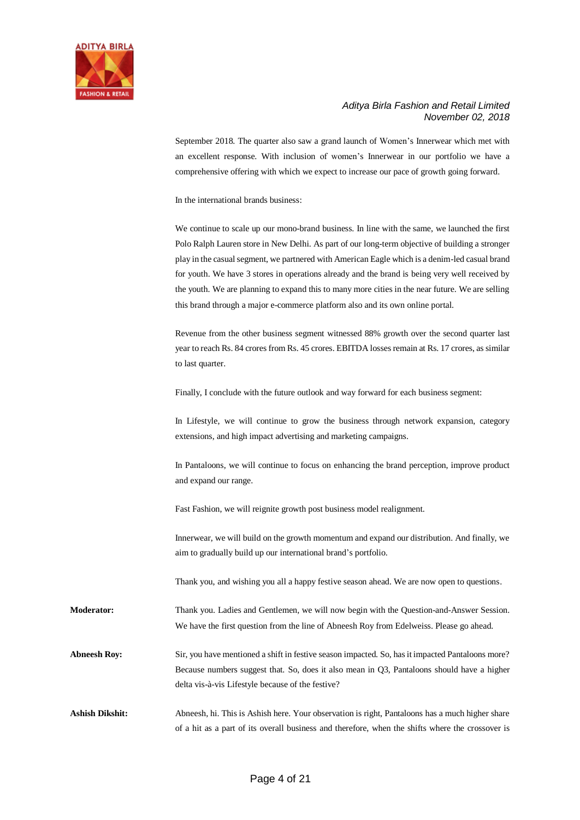

September 2018. The quarter also saw a grand launch of Women's Innerwear which met with an excellent response. With inclusion of women's Innerwear in our portfolio we have a comprehensive offering with which we expect to increase our pace of growth going forward.

In the international brands business:

We continue to scale up our mono-brand business. In line with the same, we launched the first Polo Ralph Lauren store in New Delhi. As part of our long-term objective of building a stronger play in the casual segment, we partnered with American Eagle which is a denim-led casual brand for youth. We have 3 stores in operations already and the brand is being very well received by the youth. We are planning to expand this to many more cities in the near future. We are selling this brand through a major e-commerce platform also and its own online portal.

Revenue from the other business segment witnessed 88% growth over the second quarter last year to reach Rs. 84 crores from Rs. 45 crores. EBITDA losses remain at Rs. 17 crores, as similar to last quarter.

Finally, I conclude with the future outlook and way forward for each business segment:

In Lifestyle, we will continue to grow the business through network expansion, category extensions, and high impact advertising and marketing campaigns.

In Pantaloons, we will continue to focus on enhancing the brand perception, improve product and expand our range.

Fast Fashion, we will reignite growth post business model realignment.

Innerwear, we will build on the growth momentum and expand our distribution. And finally, we aim to gradually build up our international brand's portfolio.

Thank you, and wishing you all a happy festive season ahead. We are now open to questions.

**Moderator:** Thank you. Ladies and Gentlemen, we will now begin with the Question-and-Answer Session. We have the first question from the line of Abneesh Roy from Edelweiss. Please go ahead.

Abneesh Roy: Sir, you have mentioned a shift in festive season impacted. So, has it impacted Pantaloons more? Because numbers suggest that. So, does it also mean in Q3, Pantaloons should have a higher delta vis-à-vis Lifestyle because of the festive?

Ashish Dikshit: Abneesh, hi. This is Ashish here. Your observation is right, Pantaloons has a much higher share of a hit as a part of its overall business and therefore, when the shifts where the crossover is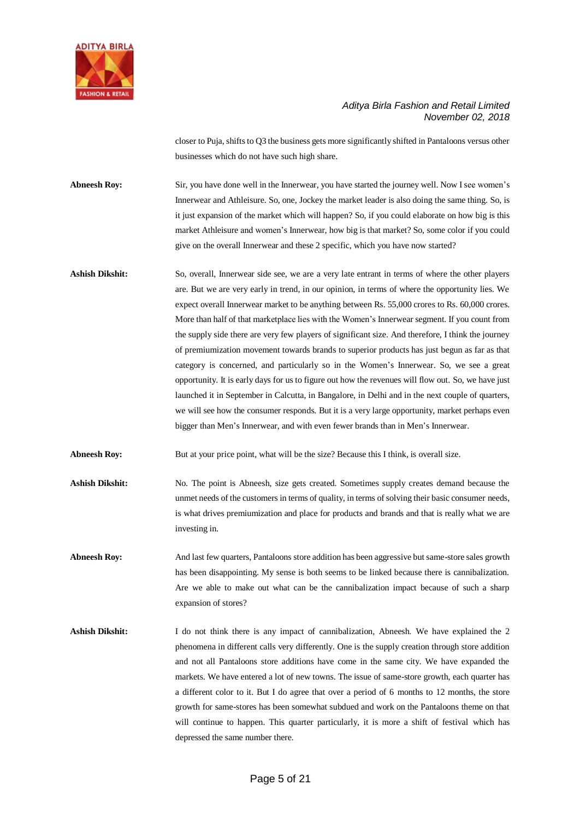

closer to Puja, shifts to Q3 the business gets more significantly shifted in Pantaloons versus other businesses which do not have such high share.

**Abneesh Roy:** Sir, you have done well in the Innerwear, you have started the journey well. Now I see women's Innerwear and Athleisure. So, one, Jockey the market leader is also doing the same thing. So, is it just expansion of the market which will happen? So, if you could elaborate on how big is this market Athleisure and women's Innerwear, how big is that market? So, some color if you could give on the overall Innerwear and these 2 specific, which you have now started?

**Ashish Dikshit:** So, overall, Innerwear side see, we are a very late entrant in terms of where the other players are. But we are very early in trend, in our opinion, in terms of where the opportunity lies. We expect overall Innerwear market to be anything between Rs. 55,000 crores to Rs. 60,000 crores. More than half of that marketplace lies with the Women's Innerwear segment. If you count from the supply side there are very few players of significant size. And therefore, I think the journey of premiumization movement towards brands to superior products has just begun as far as that category is concerned, and particularly so in the Women's Innerwear. So, we see a great opportunity. It is early days for us to figure out how the revenues will flow out. So, we have just launched it in September in Calcutta, in Bangalore, in Delhi and in the next couple of quarters, we will see how the consumer responds. But it is a very large opportunity, market perhaps even bigger than Men's Innerwear, and with even fewer brands than in Men's Innerwear.

**Abneesh Roy:** But at your price point, what will be the size? Because this I think, is overall size.

- Ashish Dikshit: No. The point is Abneesh, size gets created. Sometimes supply creates demand because the unmet needs of the customers in terms of quality, in terms of solving their basic consumer needs, is what drives premiumization and place for products and brands and that is really what we are investing in.
- **Abneesh Roy:** And last few quarters, Pantaloons store addition has been aggressive but same-store sales growth has been disappointing. My sense is both seems to be linked because there is cannibalization. Are we able to make out what can be the cannibalization impact because of such a sharp expansion of stores?
- Ashish Dikshit: I do not think there is any impact of cannibalization, Abneesh. We have explained the 2 phenomena in different calls very differently. One is the supply creation through store addition and not all Pantaloons store additions have come in the same city. We have expanded the markets. We have entered a lot of new towns. The issue of same-store growth, each quarter has a different color to it. But I do agree that over a period of 6 months to 12 months, the store growth for same-stores has been somewhat subdued and work on the Pantaloons theme on that will continue to happen. This quarter particularly, it is more a shift of festival which has depressed the same number there.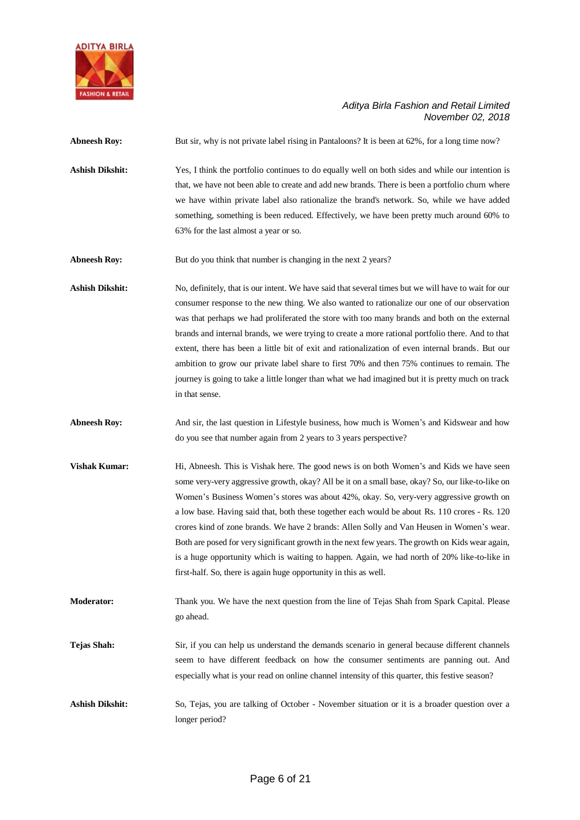

| <b>Abneesh Roy:</b>    | But sir, why is not private label rising in Pantaloons? It is been at 62%, for a long time now?                                                                                                                                                                                                                                                                                                                                                                                                                                                                                                                                                                                                                                                                |
|------------------------|----------------------------------------------------------------------------------------------------------------------------------------------------------------------------------------------------------------------------------------------------------------------------------------------------------------------------------------------------------------------------------------------------------------------------------------------------------------------------------------------------------------------------------------------------------------------------------------------------------------------------------------------------------------------------------------------------------------------------------------------------------------|
| <b>Ashish Dikshit:</b> | Yes, I think the portfolio continues to do equally well on both sides and while our intention is<br>that, we have not been able to create and add new brands. There is been a portfolio churn where<br>we have within private label also rationalize the brand's network. So, while we have added<br>something, something is been reduced. Effectively, we have been pretty much around 60% to<br>63% for the last almost a year or so.                                                                                                                                                                                                                                                                                                                        |
| <b>Abneesh Roy:</b>    | But do you think that number is changing in the next 2 years?                                                                                                                                                                                                                                                                                                                                                                                                                                                                                                                                                                                                                                                                                                  |
| <b>Ashish Dikshit:</b> | No, definitely, that is our intent. We have said that several times but we will have to wait for our<br>consumer response to the new thing. We also wanted to rationalize our one of our observation<br>was that perhaps we had proliferated the store with too many brands and both on the external<br>brands and internal brands, we were trying to create a more rational portfolio there. And to that<br>extent, there has been a little bit of exit and rationalization of even internal brands. But our<br>ambition to grow our private label share to first 70% and then 75% continues to remain. The<br>journey is going to take a little longer than what we had imagined but it is pretty much on track<br>in that sense.                            |
| <b>Abneesh Roy:</b>    | And sir, the last question in Lifestyle business, how much is Women's and Kidswear and how<br>do you see that number again from 2 years to 3 years perspective?                                                                                                                                                                                                                                                                                                                                                                                                                                                                                                                                                                                                |
| <b>Vishak Kumar:</b>   | Hi, Abneesh. This is Vishak here. The good news is on both Women's and Kids we have seen<br>some very-very aggressive growth, okay? All be it on a small base, okay? So, our like-to-like on<br>Women's Business Women's stores was about 42%, okay. So, very-very aggressive growth on<br>a low base. Having said that, both these together each would be about Rs. 110 crores - Rs. 120<br>crores kind of zone brands. We have 2 brands: Allen Solly and Van Heusen in Women's wear.<br>Both are posed for very significant growth in the next few years. The growth on Kids wear again,<br>is a huge opportunity which is waiting to happen. Again, we had north of 20% like-to-like in<br>first-half. So, there is again huge opportunity in this as well. |
| <b>Moderator:</b>      | Thank you. We have the next question from the line of Tejas Shah from Spark Capital. Please<br>go ahead.                                                                                                                                                                                                                                                                                                                                                                                                                                                                                                                                                                                                                                                       |
| <b>Tejas Shah:</b>     | Sir, if you can help us understand the demands scenario in general because different channels<br>seem to have different feedback on how the consumer sentiments are panning out. And<br>especially what is your read on online channel intensity of this quarter, this festive season?                                                                                                                                                                                                                                                                                                                                                                                                                                                                         |
| <b>Ashish Dikshit:</b> | So, Tejas, you are talking of October - November situation or it is a broader question over a<br>longer period?                                                                                                                                                                                                                                                                                                                                                                                                                                                                                                                                                                                                                                                |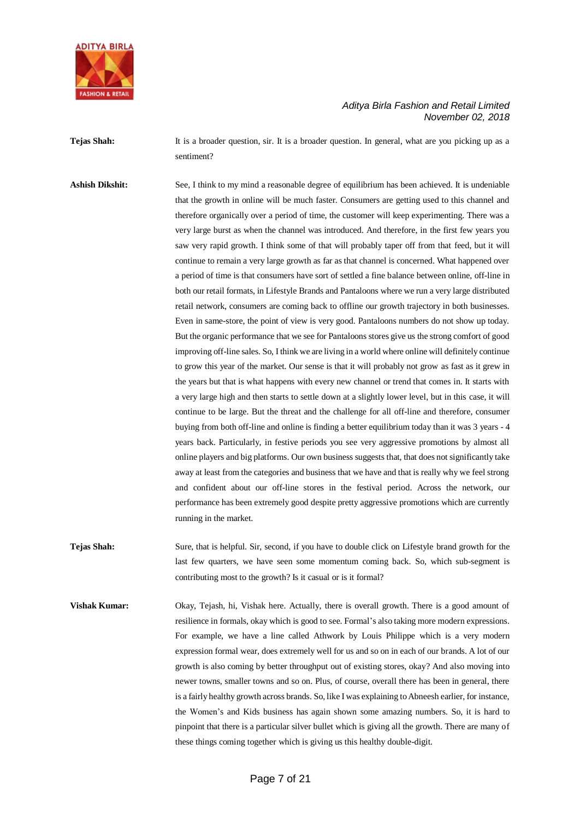

**Tejas Shah:** It is a broader question, sir. It is a broader question. In general, what are you picking up as a sentiment?

**Ashish Dikshit:** See, I think to my mind a reasonable degree of equilibrium has been achieved. It is undeniable that the growth in online will be much faster. Consumers are getting used to this channel and therefore organically over a period of time, the customer will keep experimenting. There was a very large burst as when the channel was introduced. And therefore, in the first few years you saw very rapid growth. I think some of that will probably taper off from that feed, but it will continue to remain a very large growth as far as that channel is concerned. What happened over a period of time is that consumers have sort of settled a fine balance between online, off-line in both our retail formats, in Lifestyle Brands and Pantaloons where we run a very large distributed retail network, consumers are coming back to offline our growth trajectory in both businesses. Even in same-store, the point of view is very good. Pantaloons numbers do not show up today. But the organic performance that we see for Pantaloons stores give us the strong comfort of good improving off-line sales. So, I think we are living in a world where online will definitely continue to grow this year of the market. Our sense is that it will probably not grow as fast as it grew in the years but that is what happens with every new channel or trend that comes in. It starts with a very large high and then starts to settle down at a slightly lower level, but in this case, it will continue to be large. But the threat and the challenge for all off-line and therefore, consumer buying from both off-line and online is finding a better equilibrium today than it was 3 years - 4 years back. Particularly, in festive periods you see very aggressive promotions by almost all online players and big platforms. Our own business suggests that, that does not significantly take away at least from the categories and business that we have and that is really why we feel strong and confident about our off-line stores in the festival period. Across the network, our performance has been extremely good despite pretty aggressive promotions which are currently running in the market.

- **Tejas Shah:** Sure, that is helpful. Sir, second, if you have to double click on Lifestyle brand growth for the last few quarters, we have seen some momentum coming back. So, which sub-segment is contributing most to the growth? Is it casual or is it formal?
- **Vishak Kumar:** Okay, Tejash, hi, Vishak here. Actually, there is overall growth. There is a good amount of resilience in formals, okay which is good to see. Formal's also taking more modern expressions. For example, we have a line called Athwork by Louis Philippe which is a very modern expression formal wear, does extremely well for us and so on in each of our brands. A lot of our growth is also coming by better throughput out of existing stores, okay? And also moving into newer towns, smaller towns and so on. Plus, of course, overall there has been in general, there is a fairly healthy growth across brands. So, like I was explaining to Abneesh earlier, for instance, the Women's and Kids business has again shown some amazing numbers. So, it is hard to pinpoint that there is a particular silver bullet which is giving all the growth. There are many of these things coming together which is giving us this healthy double-digit.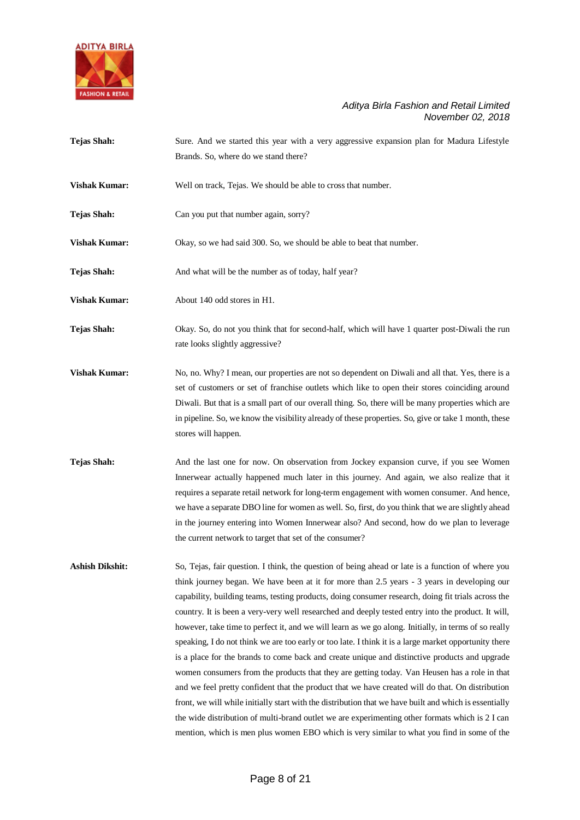

- **Tejas Shah:** Sure. And we started this year with a very aggressive expansion plan for Madura Lifestyle Brands. So, where do we stand there?
- **Vishak Kumar:** Well on track, Tejas. We should be able to cross that number.
- **Tejas Shah:** Can you put that number again, sorry?

**Vishak Kumar:** Okay, so we had said 300. So, we should be able to beat that number.

- Tejas Shah: And what will be the number as of today, half year?
- **Vishak Kumar:** About 140 odd stores in H1.

**Tejas Shah:** Okay. So, do not you think that for second-half, which will have 1 quarter post-Diwali the run rate looks slightly aggressive?

- **Vishak Kumar:** No, no. Why? I mean, our properties are not so dependent on Diwali and all that. Yes, there is a set of customers or set of franchise outlets which like to open their stores coinciding around Diwali. But that is a small part of our overall thing. So, there will be many properties which are in pipeline. So, we know the visibility already of these properties. So, give or take 1 month, these stores will happen.
- **Tejas Shah:** And the last one for now. On observation from Jockey expansion curve, if you see Women Innerwear actually happened much later in this journey. And again, we also realize that it requires a separate retail network for long-term engagement with women consumer. And hence, we have a separate DBO line for women as well. So, first, do you think that we are slightly ahead in the journey entering into Women Innerwear also? And second, how do we plan to leverage the current network to target that set of the consumer?

**Ashish Dikshit:** So, Tejas, fair question. I think, the question of being ahead or late is a function of where you think journey began. We have been at it for more than 2.5 years - 3 years in developing our capability, building teams, testing products, doing consumer research, doing fit trials across the country. It is been a very-very well researched and deeply tested entry into the product. It will, however, take time to perfect it, and we will learn as we go along. Initially, in terms of so really speaking, I do not think we are too early or too late. I think it is a large market opportunity there is a place for the brands to come back and create unique and distinctive products and upgrade women consumers from the products that they are getting today. Van Heusen has a role in that and we feel pretty confident that the product that we have created will do that. On distribution front, we will while initially start with the distribution that we have built and which is essentially the wide distribution of multi-brand outlet we are experimenting other formats which is 2 I can mention, which is men plus women EBO which is very similar to what you find in some of the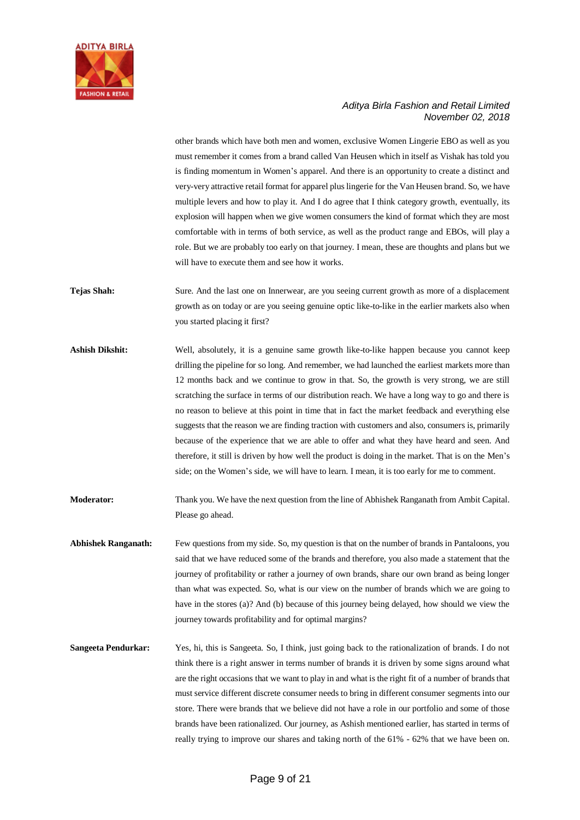

other brands which have both men and women, exclusive Women Lingerie EBO as well as you must remember it comes from a brand called Van Heusen which in itself as Vishak has told you is finding momentum in Women's apparel. And there is an opportunity to create a distinct and very-very attractive retail format for apparel plus lingerie for the Van Heusen brand. So, we have multiple levers and how to play it. And I do agree that I think category growth, eventually, its explosion will happen when we give women consumers the kind of format which they are most comfortable with in terms of both service, as well as the product range and EBOs, will play a role. But we are probably too early on that journey. I mean, these are thoughts and plans but we will have to execute them and see how it works.

- **Tejas Shah:** Sure. And the last one on Innerwear, are you seeing current growth as more of a displacement growth as on today or are you seeing genuine optic like-to-like in the earlier markets also when you started placing it first?
- **Ashish Dikshit:** Well, absolutely, it is a genuine same growth like-to-like happen because you cannot keep drilling the pipeline for so long. And remember, we had launched the earliest markets more than 12 months back and we continue to grow in that. So, the growth is very strong, we are still scratching the surface in terms of our distribution reach. We have a long way to go and there is no reason to believe at this point in time that in fact the market feedback and everything else suggests that the reason we are finding traction with customers and also, consumers is, primarily because of the experience that we are able to offer and what they have heard and seen. And therefore, it still is driven by how well the product is doing in the market. That is on the Men's side; on the Women's side, we will have to learn. I mean, it is too early for me to comment.
- **Moderator:** Thank you. We have the next question from the line of Abhishek Ranganath from Ambit Capital. Please go ahead.
- **Abhishek Ranganath:** Few questions from my side. So, my question is that on the number of brands in Pantaloons, you said that we have reduced some of the brands and therefore, you also made a statement that the journey of profitability or rather a journey of own brands, share our own brand as being longer than what was expected. So, what is our view on the number of brands which we are going to have in the stores (a)? And (b) because of this journey being delayed, how should we view the journey towards profitability and for optimal margins?
- **Sangeeta Pendurkar:** Yes, hi, this is Sangeeta. So, I think, just going back to the rationalization of brands. I do not think there is a right answer in terms number of brands it is driven by some signs around what are the right occasions that we want to play in and what is the right fit of a number of brands that must service different discrete consumer needs to bring in different consumer segments into our store. There were brands that we believe did not have a role in our portfolio and some of those brands have been rationalized. Our journey, as Ashish mentioned earlier, has started in terms of really trying to improve our shares and taking north of the 61% - 62% that we have been on.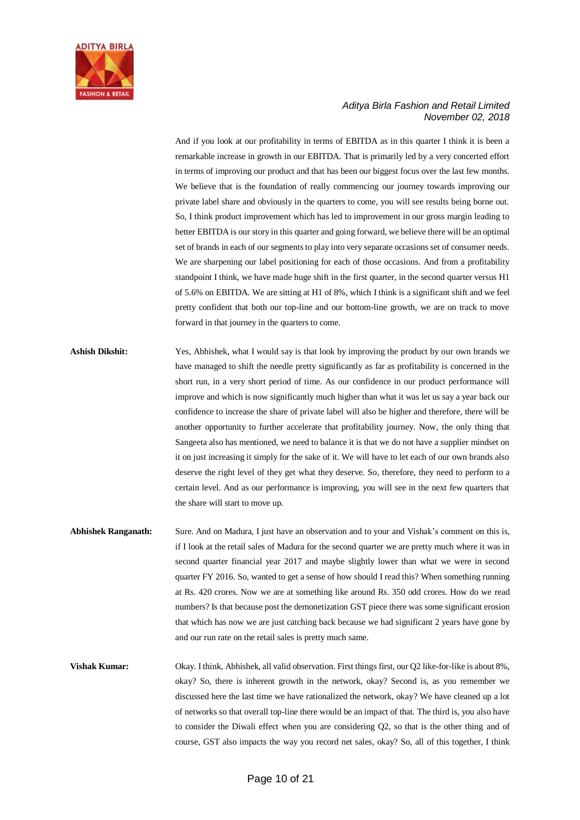

And if you look at our profitability in terms of EBITDA as in this quarter I think it is been a remarkable increase in growth in our EBITDA. That is primarily led by a very concerted effort in terms of improving our product and that has been our biggest focus over the last few months. We believe that is the foundation of really commencing our journey towards improving our private label share and obviously in the quarters to come, you will see results being borne out. So, I think product improvement which has led to improvement in our gross margin leading to better EBITDA is our story in this quarter and going forward, we believe there will be an optimal set of brands in each of our segments to play into very separate occasions set of consumer needs. We are sharpening our label positioning for each of those occasions. And from a profitability standpoint I think, we have made huge shift in the first quarter, in the second quarter versus H1 of 5.6% on EBITDA. We are sitting at H1 of 8%, which I think is a significant shift and we feel pretty confident that both our top-line and our bottom-line growth, we are on track to move forward in that journey in the quarters to come.

- **Ashish Dikshit:** Yes, Abhishek, what I would say is that look by improving the product by our own brands we have managed to shift the needle pretty significantly as far as profitability is concerned in the short run, in a very short period of time. As our confidence in our product performance will improve and which is now significantly much higher than what it was let us say a year back our confidence to increase the share of private label will also be higher and therefore, there will be another opportunity to further accelerate that profitability journey. Now, the only thing that Sangeeta also has mentioned, we need to balance it is that we do not have a supplier mindset on it on just increasing it simply for the sake of it. We will have to let each of our own brands also deserve the right level of they get what they deserve. So, therefore, they need to perform to a certain level. And as our performance is improving, you will see in the next few quarters that the share will start to move up.
- **Abhishek Ranganath:** Sure. And on Madura, I just have an observation and to your and Vishak's comment on this is, if I look at the retail sales of Madura for the second quarter we are pretty much where it was in second quarter financial year 2017 and maybe slightly lower than what we were in second quarter FY 2016. So, wanted to get a sense of how should I read this? When something running at Rs. 420 crores. Now we are at something like around Rs. 350 odd crores. How do we read numbers? Is that because post the demonetization GST piece there was some significant erosion that which has now we are just catching back because we had significant 2 years have gone by and our run rate on the retail sales is pretty much same.
- **Vishak Kumar:** Okay. I think, Abhishek, all valid observation. First things first, our Q2 like-for-like is about 8%, okay? So, there is inherent growth in the network, okay? Second is, as you remember we discussed here the last time we have rationalized the network, okay? We have cleaned up a lot of networks so that overall top-line there would be an impact of that. The third is, you also have to consider the Diwali effect when you are considering Q2, so that is the other thing and of course, GST also impacts the way you record net sales, okay? So, all of this together, I think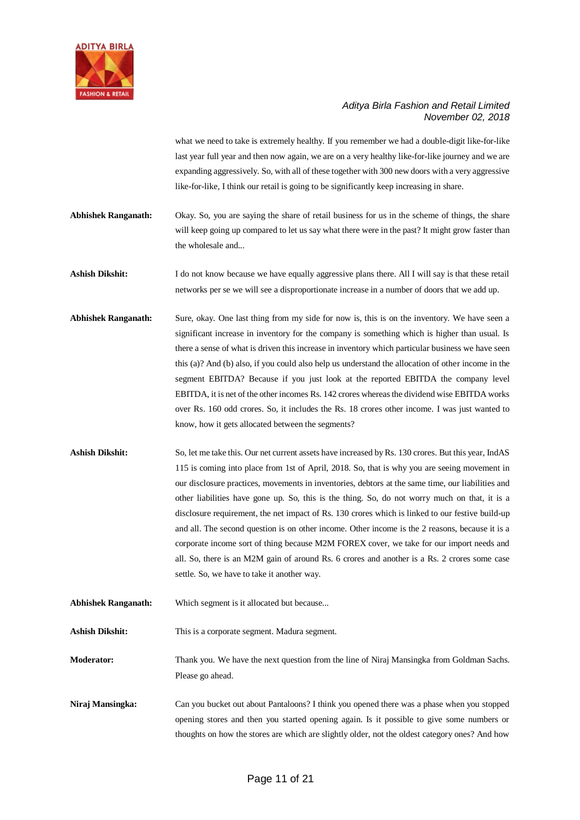

what we need to take is extremely healthy. If you remember we had a double-digit like-for-like last year full year and then now again, we are on a very healthy like-for-like journey and we are expanding aggressively. So, with all of these together with 300 new doors with a very aggressive like-for-like, I think our retail is going to be significantly keep increasing in share.

- **Abhishek Ranganath:** Okay. So, you are saying the share of retail business for us in the scheme of things, the share will keep going up compared to let us say what there were in the past? It might grow faster than the wholesale and...
- Ashish Dikshit: I do not know because we have equally aggressive plans there. All I will say is that these retail networks per se we will see a disproportionate increase in a number of doors that we add up.
- **Abhishek Ranganath:** Sure, okay. One last thing from my side for now is, this is on the inventory. We have seen a significant increase in inventory for the company is something which is higher than usual. Is there a sense of what is driven this increase in inventory which particular business we have seen this (a)? And (b) also, if you could also help us understand the allocation of other income in the segment EBITDA? Because if you just look at the reported EBITDA the company level EBITDA, it is net of the other incomes Rs. 142 crores whereas the dividend wise EBITDA works over Rs. 160 odd crores. So, it includes the Rs. 18 crores other income. I was just wanted to know, how it gets allocated between the segments?
- Ashish Dikshit: So, let me take this. Our net current assets have increased by Rs. 130 crores. But this year, IndAS 115 is coming into place from 1st of April, 2018. So, that is why you are seeing movement in our disclosure practices, movements in inventories, debtors at the same time, our liabilities and other liabilities have gone up. So, this is the thing. So, do not worry much on that, it is a disclosure requirement, the net impact of Rs. 130 crores which is linked to our festive build-up and all. The second question is on other income. Other income is the 2 reasons, because it is a corporate income sort of thing because M2M FOREX cover, we take for our import needs and all. So, there is an M2M gain of around Rs. 6 crores and another is a Rs. 2 crores some case settle. So, we have to take it another way.
- **Abhishek Ranganath:** Which segment is it allocated but because...

Ashish Dikshit: This is a corporate segment. Madura segment.

**Moderator:** Thank you. We have the next question from the line of Niraj Mansingka from Goldman Sachs. Please go ahead.

**Niraj Mansingka:** Can you bucket out about Pantaloons? I think you opened there was a phase when you stopped opening stores and then you started opening again. Is it possible to give some numbers or thoughts on how the stores are which are slightly older, not the oldest category ones? And how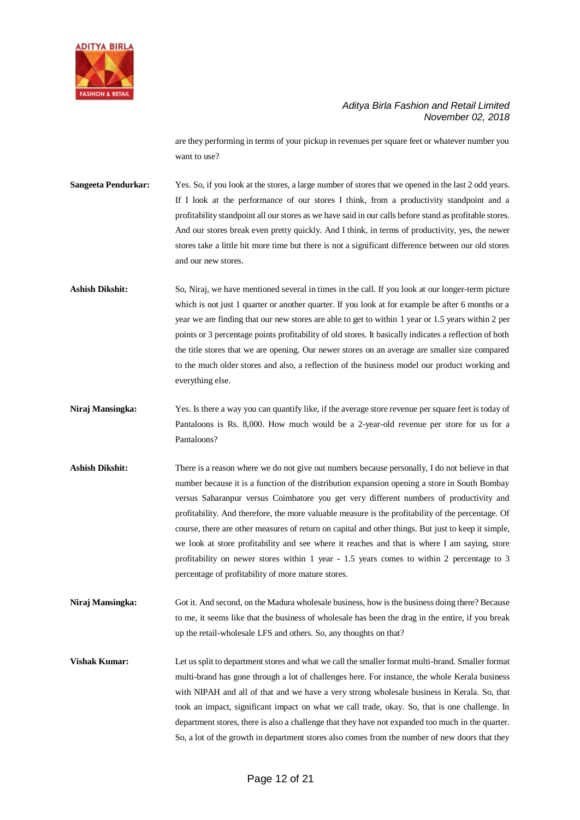

are they performing in terms of your pickup in revenues per square feet or whatever number you want to use?

**Sangeeta Pendurkar:** Yes. So, if you look at the stores, a large number of stores that we opened in the last 2 odd years. If I look at the performance of our stores I think, from a productivity standpoint and a profitability standpoint all our stores as we have said in our calls before stand as profitable stores. And our stores break even pretty quickly. And I think, in terms of productivity, yes, the newer stores take a little bit more time but there is not a significant difference between our old stores and our new stores.

**Ashish Dikshit:** So, Niraj, we have mentioned several in times in the call. If you look at our longer-term picture which is not just 1 quarter or another quarter. If you look at for example be after 6 months or a year we are finding that our new stores are able to get to within 1 year or 1.5 years within 2 per points or 3 percentage points profitability of old stores. It basically indicates a reflection of both the title stores that we are opening. Our newer stores on an average are smaller size compared to the much older stores and also, a reflection of the business model our product working and everything else.

- **Niraj Mansingka:** Yes. Is there a way you can quantify like, if the average store revenue per square feet is today of Pantaloons is Rs. 8,000. How much would be a 2-year-old revenue per store for us for a Pantaloons?
- **Ashish Dikshit:** There is a reason where we do not give out numbers because personally, I do not believe in that number because it is a function of the distribution expansion opening a store in South Bombay versus Saharanpur versus Coimbatore you get very different numbers of productivity and profitability. And therefore, the more valuable measure is the profitability of the percentage. Of course, there are other measures of return on capital and other things. But just to keep it simple, we look at store profitability and see where it reaches and that is where I am saying, store profitability on newer stores within 1 year - 1.5 years comes to within 2 percentage to 3 percentage of profitability of more mature stores.
- **Niraj Mansingka:** Got it. And second, on the Madura wholesale business, how is the business doing there? Because to me, it seems like that the business of wholesale has been the drag in the entire, if you break up the retail-wholesale LFS and others. So, any thoughts on that?

**Vishak Kumar:** Let us split to department stores and what we call the smaller format multi-brand. Smaller format multi-brand has gone through a lot of challenges here. For instance, the whole Kerala business with NIPAH and all of that and we have a very strong wholesale business in Kerala. So, that took an impact, significant impact on what we call trade, okay. So, that is one challenge. In department stores, there is also a challenge that they have not expanded too much in the quarter. So, a lot of the growth in department stores also comes from the number of new doors that they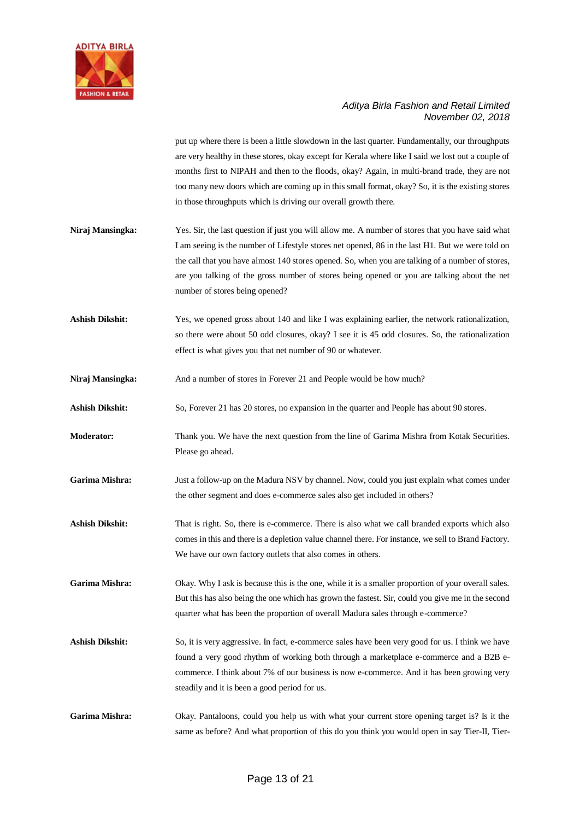

put up where there is been a little slowdown in the last quarter. Fundamentally, our throughputs are very healthy in these stores, okay except for Kerala where like I said we lost out a couple of months first to NIPAH and then to the floods, okay? Again, in multi-brand trade, they are not too many new doors which are coming up in this small format, okay? So, it is the existing stores in those throughputs which is driving our overall growth there.

- **Niraj Mansingka:** Yes. Sir, the last question if just you will allow me. A number of stores that you have said what I am seeing is the number of Lifestyle stores net opened, 86 in the last H1. But we were told on the call that you have almost 140 stores opened. So, when you are talking of a number of stores, are you talking of the gross number of stores being opened or you are talking about the net number of stores being opened?
- **Ashish Dikshit:** Yes, we opened gross about 140 and like I was explaining earlier, the network rationalization, so there were about 50 odd closures, okay? I see it is 45 odd closures. So, the rationalization effect is what gives you that net number of 90 or whatever.
- **Niraj Mansingka:** And a number of stores in Forever 21 and People would be how much?
- **Ashish Dikshit:** So, Forever 21 has 20 stores, no expansion in the quarter and People has about 90 stores.
- **Moderator:** Thank you. We have the next question from the line of Garima Mishra from Kotak Securities. Please go ahead.
- **Garima Mishra:** Just a follow-up on the Madura NSV by channel. Now, could you just explain what comes under the other segment and does e-commerce sales also get included in others?
- Ashish Dikshit: That is right. So, there is e-commerce. There is also what we call branded exports which also comes in this and there is a depletion value channel there. For instance, we sell to Brand Factory. We have our own factory outlets that also comes in others.
- Garima Mishra: Okay. Why I ask is because this is the one, while it is a smaller proportion of your overall sales. But this has also being the one which has grown the fastest. Sir, could you give me in the second quarter what has been the proportion of overall Madura sales through e-commerce?
- Ashish Dikshit: So, it is very aggressive. In fact, e-commerce sales have been very good for us. I think we have found a very good rhythm of working both through a marketplace e-commerce and a B2B ecommerce. I think about 7% of our business is now e-commerce. And it has been growing very steadily and it is been a good period for us.
- **Garima Mishra:** Okay. Pantaloons, could you help us with what your current store opening target is? Is it the same as before? And what proportion of this do you think you would open in say Tier-II, Tier-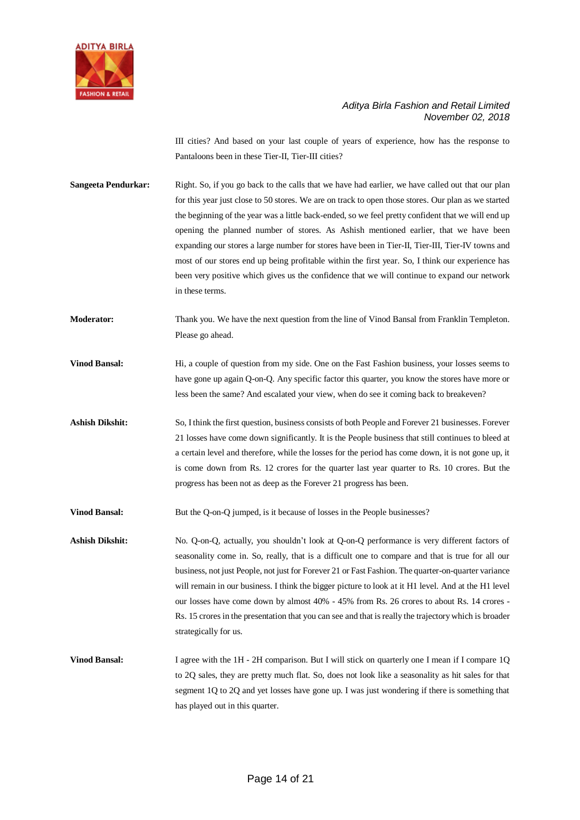

III cities? And based on your last couple of years of experience, how has the response to Pantaloons been in these Tier-II, Tier-III cities?

**Sangeeta Pendurkar:** Right. So, if you go back to the calls that we have had earlier, we have called out that our plan for this year just close to 50 stores. We are on track to open those stores. Our plan as we started the beginning of the year was a little back-ended, so we feel pretty confident that we will end up opening the planned number of stores. As Ashish mentioned earlier, that we have been expanding our stores a large number for stores have been in Tier-II, Tier-III, Tier-IV towns and most of our stores end up being profitable within the first year. So, I think our experience has been very positive which gives us the confidence that we will continue to expand our network in these terms.

**Moderator:** Thank you. We have the next question from the line of Vinod Bansal from Franklin Templeton. Please go ahead.

**Vinod Bansal:** Hi, a couple of question from my side. One on the Fast Fashion business, your losses seems to have gone up again Q-on-Q. Any specific factor this quarter, you know the stores have more or less been the same? And escalated your view, when do see it coming back to breakeven?

**Ashish Dikshit:** So, I think the first question, business consists of both People and Forever 21 businesses. Forever 21 losses have come down significantly. It is the People business that still continues to bleed at a certain level and therefore, while the losses for the period has come down, it is not gone up, it is come down from Rs. 12 crores for the quarter last year quarter to Rs. 10 crores. But the progress has been not as deep as the Forever 21 progress has been.

**Vinod Bansal:** But the Q-on-Q jumped, is it because of losses in the People businesses?

Ashish Dikshit: No. Q-on-Q, actually, you shouldn't look at Q-on-Q performance is very different factors of seasonality come in. So, really, that is a difficult one to compare and that is true for all our business, not just People, not just for Forever 21 or Fast Fashion. The quarter-on-quarter variance will remain in our business. I think the bigger picture to look at it H1 level. And at the H1 level our losses have come down by almost 40% - 45% from Rs. 26 crores to about Rs. 14 crores - Rs. 15 croresin the presentation that you can see and that is really the trajectory which is broader strategically for us.

**Vinod Bansal:** I agree with the 1H - 2H comparison. But I will stick on quarterly one I mean if I compare 1Q to 2Q sales, they are pretty much flat. So, does not look like a seasonality as hit sales for that segment 1Q to 2Q and yet losses have gone up. I was just wondering if there is something that has played out in this quarter.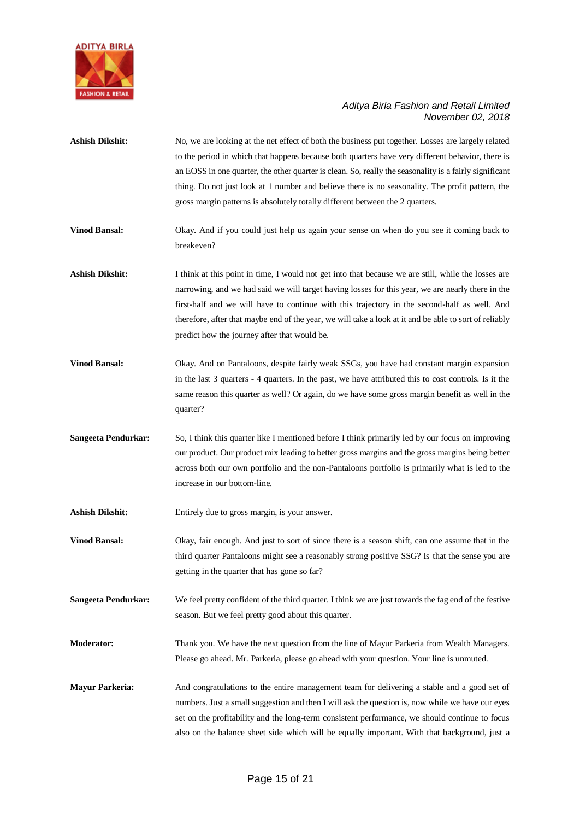

| <b>Ashish Dikshit:</b>     | No, we are looking at the net effect of both the business put together. Losses are largely related<br>to the period in which that happens because both quarters have very different behavior, there is<br>an EOSS in one quarter, the other quarter is clean. So, really the seasonality is a fairly significant<br>thing. Do not just look at 1 number and believe there is no seasonality. The profit pattern, the<br>gross margin patterns is absolutely totally different between the 2 quarters. |
|----------------------------|-------------------------------------------------------------------------------------------------------------------------------------------------------------------------------------------------------------------------------------------------------------------------------------------------------------------------------------------------------------------------------------------------------------------------------------------------------------------------------------------------------|
| <b>Vinod Bansal:</b>       | Okay. And if you could just help us again your sense on when do you see it coming back to<br>breakeven?                                                                                                                                                                                                                                                                                                                                                                                               |
| <b>Ashish Dikshit:</b>     | I think at this point in time, I would not get into that because we are still, while the losses are<br>narrowing, and we had said we will target having losses for this year, we are nearly there in the<br>first-half and we will have to continue with this trajectory in the second-half as well. And<br>therefore, after that maybe end of the year, we will take a look at it and be able to sort of reliably<br>predict how the journey after that would be.                                    |
| <b>Vinod Bansal:</b>       | Okay. And on Pantaloons, despite fairly weak SSGs, you have had constant margin expansion<br>in the last 3 quarters - 4 quarters. In the past, we have attributed this to cost controls. Is it the<br>same reason this quarter as well? Or again, do we have some gross margin benefit as well in the<br>quarter?                                                                                                                                                                                     |
| <b>Sangeeta Pendurkar:</b> | So, I think this quarter like I mentioned before I think primarily led by our focus on improving<br>our product. Our product mix leading to better gross margins and the gross margins being better<br>across both our own portfolio and the non-Pantaloons portfolio is primarily what is led to the<br>increase in our bottom-line.                                                                                                                                                                 |
| <b>Ashish Dikshit:</b>     | Entirely due to gross margin, is your answer.                                                                                                                                                                                                                                                                                                                                                                                                                                                         |
| <b>Vinod Bansal:</b>       | Okay, fair enough. And just to sort of since there is a season shift, can one assume that in the<br>third quarter Pantaloons might see a reasonably strong positive SSG? Is that the sense you are<br>getting in the quarter that has gone so far?                                                                                                                                                                                                                                                    |
| <b>Sangeeta Pendurkar:</b> | We feel pretty confident of the third quarter. I think we are just towards the fag end of the festive<br>season. But we feel pretty good about this quarter.                                                                                                                                                                                                                                                                                                                                          |
| Moderator:                 | Thank you. We have the next question from the line of Mayur Parkeria from Wealth Managers.<br>Please go ahead. Mr. Parkeria, please go ahead with your question. Your line is unmuted.                                                                                                                                                                                                                                                                                                                |
| <b>Mayur Parkeria:</b>     | And congratulations to the entire management team for delivering a stable and a good set of<br>numbers. Just a small suggestion and then I will ask the question is, now while we have our eyes<br>set on the profitability and the long-term consistent performance, we should continue to focus<br>also on the balance sheet side which will be equally important. With that background, just a                                                                                                     |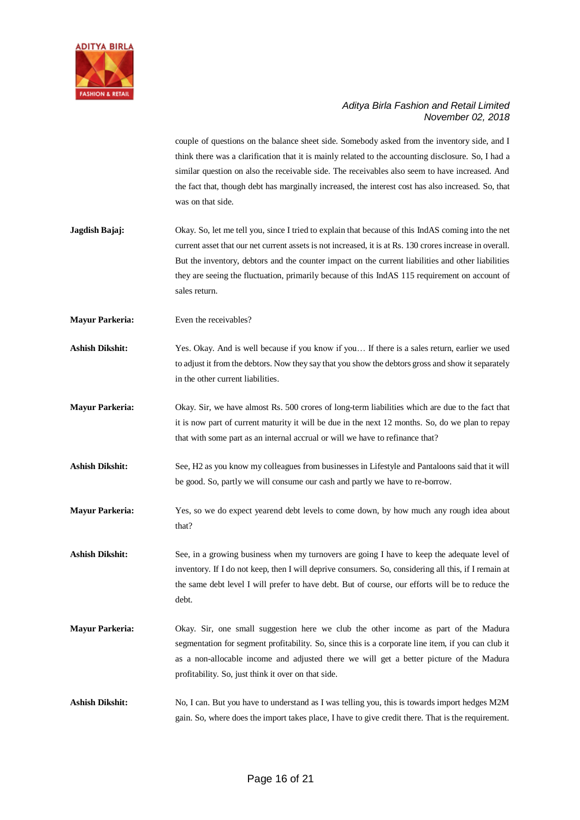

couple of questions on the balance sheet side. Somebody asked from the inventory side, and I think there was a clarification that it is mainly related to the accounting disclosure. So, I had a similar question on also the receivable side. The receivables also seem to have increased. And the fact that, though debt has marginally increased, the interest cost has also increased. So, that was on that side.

- **Jagdish Bajaj:** Okay. So, let me tell you, since I tried to explain that because of this IndAS coming into the net current asset that our net current assets is not increased, it is at Rs. 130 croresincrease in overall. But the inventory, debtors and the counter impact on the current liabilities and other liabilities they are seeing the fluctuation, primarily because of this IndAS 115 requirement on account of sales return.
- **Mayur Parkeria:** Even the receivables?
- Ashish Dikshit: Yes. Okay. And is well because if you know if you... If there is a sales return, earlier we used to adjust it from the debtors. Now they say that you show the debtors gross and show it separately in the other current liabilities.
- **Mayur Parkeria:** Okay. Sir, we have almost Rs. 500 crores of long-term liabilities which are due to the fact that it is now part of current maturity it will be due in the next 12 months. So, do we plan to repay that with some part as an internal accrual or will we have to refinance that?
- **Ashish Dikshit:** See, H2 as you know my colleagues from businesses in Lifestyle and Pantaloons said that it will be good. So, partly we will consume our cash and partly we have to re-borrow.
- **Mayur Parkeria:** Yes, so we do expect yearend debt levels to come down, by how much any rough idea about that?

Ashish Dikshit: See, in a growing business when my turnovers are going I have to keep the adequate level of inventory. If I do not keep, then I will deprive consumers. So, considering all this, if I remain at the same debt level I will prefer to have debt. But of course, our efforts will be to reduce the debt.

- **Mayur Parkeria:** Okay. Sir, one small suggestion here we club the other income as part of the Madura segmentation for segment profitability. So, since this is a corporate line item, if you can club it as a non-allocable income and adjusted there we will get a better picture of the Madura profitability. So, just think it over on that side.
- **Ashish Dikshit:** No, I can. But you have to understand as I was telling you, this is towards import hedges M2M gain. So, where does the import takes place, I have to give credit there. That is the requirement.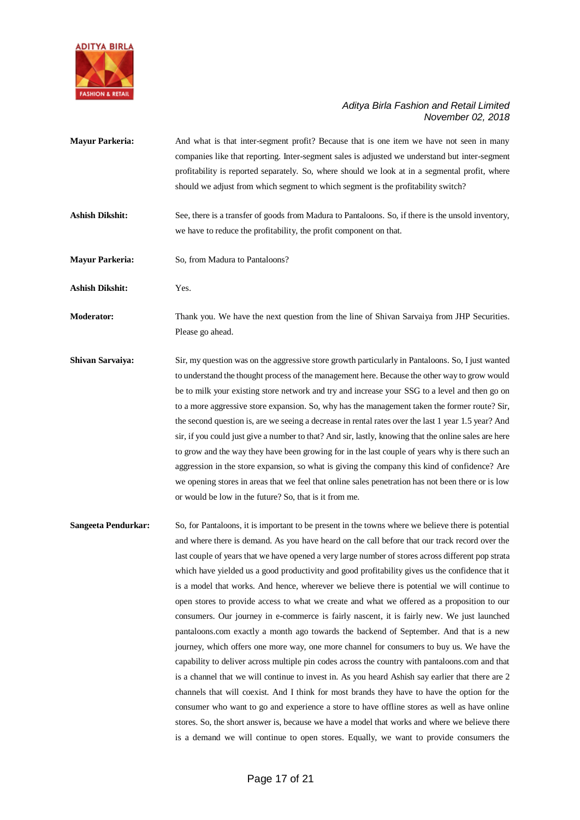

- **Mayur Parkeria:** And what is that inter-segment profit? Because that is one item we have not seen in many companies like that reporting. Inter-segment sales is adjusted we understand but inter-segment profitability is reported separately. So, where should we look at in a segmental profit, where should we adjust from which segment to which segment is the profitability switch?
- **Ashish Dikshit:** See, there is a transfer of goods from Madura to Pantaloons. So, if there is the unsold inventory, we have to reduce the profitability, the profit component on that.
- **Mayur Parkeria:** So, from Madura to Pantaloons?
- **Ashish Dikshit:** Yes.

**Moderator:** Thank you. We have the next question from the line of Shivan Sarvaiya from JHP Securities. Please go ahead.

- **Shivan Sarvaiya:** Sir, my question was on the aggressive store growth particularly in Pantaloons. So, I just wanted to understand the thought process of the management here. Because the other way to grow would be to milk your existing store network and try and increase your SSG to a level and then go on to a more aggressive store expansion. So, why has the management taken the former route? Sir, the second question is, are we seeing a decrease in rental rates over the last 1 year 1.5 year? And sir, if you could just give a number to that? And sir, lastly, knowing that the online sales are here to grow and the way they have been growing for in the last couple of years why is there such an aggression in the store expansion, so what is giving the company this kind of confidence? Are we opening stores in areas that we feel that online sales penetration has not been there or is low or would be low in the future? So, that is it from me.
- **Sangeeta Pendurkar:** So, for Pantaloons, it is important to be present in the towns where we believe there is potential and where there is demand. As you have heard on the call before that our track record over the last couple of years that we have opened a very large number of stores across different pop strata which have yielded us a good productivity and good profitability gives us the confidence that it is a model that works. And hence, wherever we believe there is potential we will continue to open stores to provide access to what we create and what we offered as a proposition to our consumers. Our journey in e-commerce is fairly nascent, it is fairly new. We just launched pantaloons.com exactly a month ago towards the backend of September. And that is a new journey, which offers one more way, one more channel for consumers to buy us. We have the capability to deliver across multiple pin codes across the country with pantaloons.com and that is a channel that we will continue to invest in. As you heard Ashish say earlier that there are 2 channels that will coexist. And I think for most brands they have to have the option for the consumer who want to go and experience a store to have offline stores as well as have online stores. So, the short answer is, because we have a model that works and where we believe there is a demand we will continue to open stores. Equally, we want to provide consumers the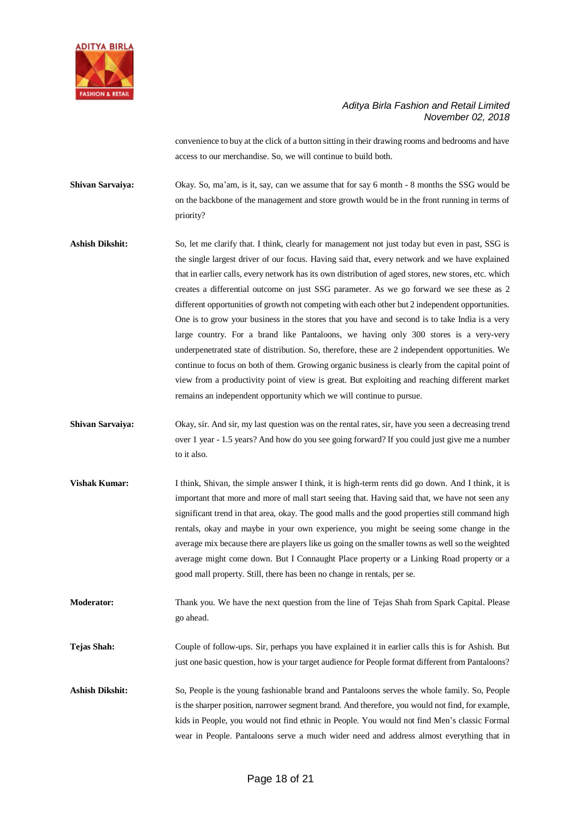

convenience to buy at the click of a button sitting in their drawing rooms and bedrooms and have access to our merchandise. So, we will continue to build both.

**Shivan Sarvaiya:** Okay. So, ma'am, is it, say, can we assume that for say 6 month - 8 months the SSG would be on the backbone of the management and store growth would be in the front running in terms of priority?

- Ashish Dikshit: So, let me clarify that. I think, clearly for management not just today but even in past, SSG is the single largest driver of our focus. Having said that, every network and we have explained that in earlier calls, every network has its own distribution of aged stores, new stores, etc. which creates a differential outcome on just SSG parameter. As we go forward we see these as 2 different opportunities of growth not competing with each other but 2 independent opportunities. One is to grow your business in the stores that you have and second is to take India is a very large country. For a brand like Pantaloons, we having only 300 stores is a very-very underpenetrated state of distribution. So, therefore, these are 2 independent opportunities. We continue to focus on both of them. Growing organic business is clearly from the capital point of view from a productivity point of view is great. But exploiting and reaching different market remains an independent opportunity which we will continue to pursue.
- **Shivan Sarvaiya:** Okay, sir. And sir, my last question was on the rental rates, sir, have you seen a decreasing trend over 1 year - 1.5 years? And how do you see going forward? If you could just give me a number to it also.
- **Vishak Kumar:** I think, Shivan, the simple answer I think, it is high-term rents did go down. And I think, it is important that more and more of mall start seeing that. Having said that, we have not seen any significant trend in that area, okay. The good malls and the good properties still command high rentals, okay and maybe in your own experience, you might be seeing some change in the average mix because there are players like us going on the smaller towns as well so the weighted average might come down. But I Connaught Place property or a Linking Road property or a good mall property. Still, there has been no change in rentals, per se.
- **Moderator:** Thank you. We have the next question from the line of Tejas Shah from Spark Capital. Please go ahead.
- **Tejas Shah:** Couple of follow-ups. Sir, perhaps you have explained it in earlier calls this is for Ashish. But just one basic question, how is your target audience for People format different from Pantaloons?
- **Ashish Dikshit:** So, People is the young fashionable brand and Pantaloons serves the whole family. So, People is the sharper position, narrower segment brand. And therefore, you would not find, for example, kids in People, you would not find ethnic in People. You would not find Men's classic Formal wear in People. Pantaloons serve a much wider need and address almost everything that in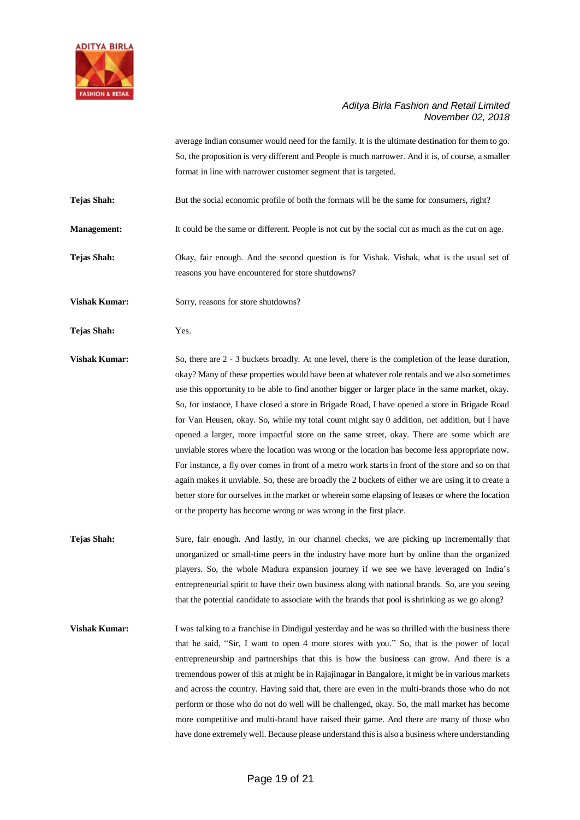

average Indian consumer would need for the family. It is the ultimate destination for them to go. So, the proposition is very different and People is much narrower. And it is, of course, a smaller format in line with narrower customer segment that is targeted.

**Tejas Shah:** But the social economic profile of both the formats will be the same for consumers, right?

**Management:** It could be the same or different. People is not cut by the social cut as much as the cut on age.

**Tejas Shah:** Okay, fair enough. And the second question is for Vishak. Vishak, what is the usual set of reasons you have encountered for store shutdowns?

**Vishak Kumar:** Sorry, reasons for store shutdowns?

**Tejas Shah:** Yes.

**Vishak Kumar:** So, there are 2 - 3 buckets broadly. At one level, there is the completion of the lease duration, okay? Many of these properties would have been at whatever role rentals and we also sometimes use this opportunity to be able to find another bigger or larger place in the same market, okay. So, for instance, I have closed a store in Brigade Road, I have opened a store in Brigade Road for Van Heusen, okay. So, while my total count might say 0 addition, net addition, but I have opened a larger, more impactful store on the same street, okay. There are some which are unviable stores where the location was wrong or the location has become less appropriate now. For instance, a fly over comes in front of a metro work starts in front of the store and so on that again makes it unviable. So, these are broadly the 2 buckets of either we are using it to create a better store for ourselves in the market or wherein some elapsing of leases or where the location or the property has become wrong or was wrong in the first place.

**Tejas Shah:** Sure, fair enough. And lastly, in our channel checks, we are picking up incrementally that unorganized or small-time peers in the industry have more hurt by online than the organized players. So, the whole Madura expansion journey if we see we have leveraged on India's entrepreneurial spirit to have their own business along with national brands. So, are you seeing that the potential candidate to associate with the brands that pool is shrinking as we go along?

**Vishak Kumar:** I was talking to a franchise in Dindigul yesterday and he was so thrilled with the business there that he said, "Sir, I want to open 4 more stores with you." So, that is the power of local entrepreneurship and partnerships that this is how the business can grow. And there is a tremendous power of this at might be in Rajajinagar in Bangalore, it might be in various markets and across the country. Having said that, there are even in the multi-brands those who do not perform or those who do not do well will be challenged, okay. So, the mall market has become more competitive and multi-brand have raised their game. And there are many of those who have done extremely well. Because please understand this is also a business where understanding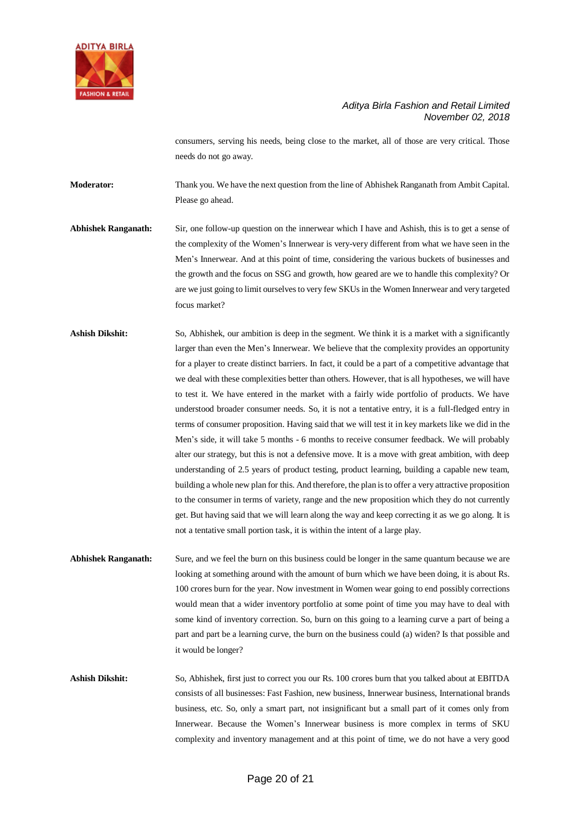

consumers, serving his needs, being close to the market, all of those are very critical. Those needs do not go away.

**Moderator:** Thank you. We have the next question from the line of Abhishek Ranganath from Ambit Capital. Please go ahead.

- **Abhishek Ranganath:** Sir, one follow-up question on the innerwear which I have and Ashish, this is to get a sense of the complexity of the Women's Innerwear is very-very different from what we have seen in the Men's Innerwear. And at this point of time, considering the various buckets of businesses and the growth and the focus on SSG and growth, how geared are we to handle this complexity? Or are we just going to limit ourselves to very few SKUs in the Women Innerwear and very targeted focus market?
- **Ashish Dikshit:** So, Abhishek, our ambition is deep in the segment. We think it is a market with a significantly larger than even the Men's Innerwear. We believe that the complexity provides an opportunity for a player to create distinct barriers. In fact, it could be a part of a competitive advantage that we deal with these complexities better than others. However, that is all hypotheses, we will have to test it. We have entered in the market with a fairly wide portfolio of products. We have understood broader consumer needs. So, it is not a tentative entry, it is a full-fledged entry in terms of consumer proposition. Having said that we will test it in key markets like we did in the Men's side, it will take 5 months - 6 months to receive consumer feedback. We will probably alter our strategy, but this is not a defensive move. It is a move with great ambition, with deep understanding of 2.5 years of product testing, product learning, building a capable new team, building a whole new plan for this. And therefore, the plan is to offer a very attractive proposition to the consumer in terms of variety, range and the new proposition which they do not currently get. But having said that we will learn along the way and keep correcting it as we go along. It is not a tentative small portion task, it is within the intent of a large play.
- **Abhishek Ranganath:** Sure, and we feel the burn on this business could be longer in the same quantum because we are looking at something around with the amount of burn which we have been doing, it is about Rs. 100 crores burn for the year. Now investment in Women wear going to end possibly corrections would mean that a wider inventory portfolio at some point of time you may have to deal with some kind of inventory correction. So, burn on this going to a learning curve a part of being a part and part be a learning curve, the burn on the business could (a) widen? Is that possible and it would be longer?

**Ashish Dikshit:** So, Abhishek, first just to correct you our Rs. 100 crores burn that you talked about at EBITDA consists of all businesses: Fast Fashion, new business, Innerwear business, International brands business, etc. So, only a smart part, not insignificant but a small part of it comes only from Innerwear. Because the Women's Innerwear business is more complex in terms of SKU complexity and inventory management and at this point of time, we do not have a very good